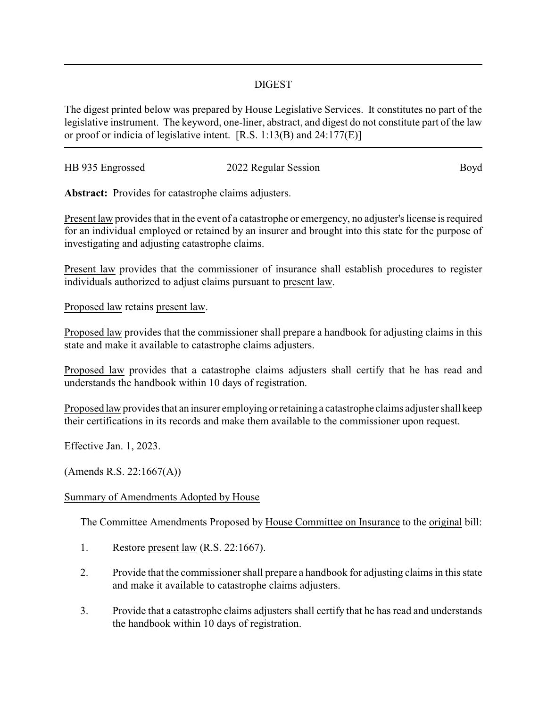## DIGEST

The digest printed below was prepared by House Legislative Services. It constitutes no part of the legislative instrument. The keyword, one-liner, abstract, and digest do not constitute part of the law or proof or indicia of legislative intent. [R.S. 1:13(B) and 24:177(E)]

| HB 935 Engrossed |                      | Boyd |
|------------------|----------------------|------|
|                  | 2022 Regular Session |      |

**Abstract:** Provides for catastrophe claims adjusters.

Present law provides that in the event of a catastrophe or emergency, no adjuster's license is required for an individual employed or retained by an insurer and brought into this state for the purpose of investigating and adjusting catastrophe claims.

Present law provides that the commissioner of insurance shall establish procedures to register individuals authorized to adjust claims pursuant to present law.

Proposed law retains present law.

Proposed law provides that the commissioner shall prepare a handbook for adjusting claims in this state and make it available to catastrophe claims adjusters.

Proposed law provides that a catastrophe claims adjusters shall certify that he has read and understands the handbook within 10 days of registration.

Proposed law provides that an insurer employing or retaining a catastrophe claims adjuster shall keep their certifications in its records and make them available to the commissioner upon request.

Effective Jan. 1, 2023.

(Amends R.S. 22:1667(A))

## Summary of Amendments Adopted by House

The Committee Amendments Proposed by House Committee on Insurance to the original bill:

- 1. Restore present law (R.S. 22:1667).
- 2. Provide that the commissioner shall prepare a handbook for adjusting claims in this state and make it available to catastrophe claims adjusters.
- 3. Provide that a catastrophe claims adjusters shall certify that he has read and understands the handbook within 10 days of registration.